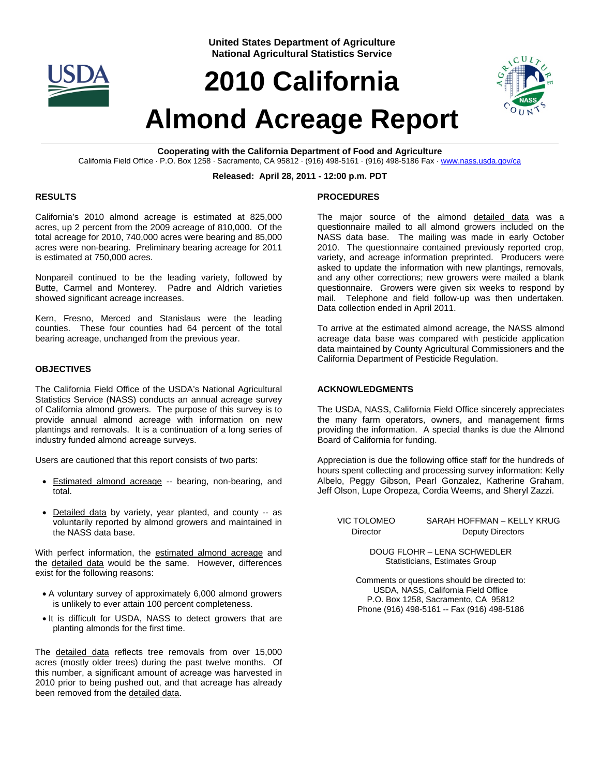

**United States Department of Agriculture National Agricultural Statistics Service**

# **2010 California**



# **Almond Acreage Report**

**Cooperating with the California Department of Food and Agriculture**  California Field Office · P.O. Box 1258 · Sacramento, CA 95812 · (916) 498-5161 · (916) 498-5186 Fax · www.nass.usda.gov/ca

#### **Released: April 28, 2011 - 12:00 p.m. PDT**

### **RESULTS**

California's 2010 almond acreage is estimated at 825,000 acres, up 2 percent from the 2009 acreage of 810,000. Of the total acreage for 2010, 740,000 acres were bearing and 85,000 acres were non-bearing. Preliminary bearing acreage for 2011 is estimated at 750,000 acres.

Nonpareil continued to be the leading variety, followed by Butte, Carmel and Monterey. Padre and Aldrich varieties showed significant acreage increases.

Kern, Fresno, Merced and Stanislaus were the leading counties. These four counties had 64 percent of the total bearing acreage, unchanged from the previous year.

### **OBJECTIVES**

The California Field Office of the USDA's National Agricultural Statistics Service (NASS) conducts an annual acreage survey of California almond growers. The purpose of this survey is to provide annual almond acreage with information on new plantings and removals. It is a continuation of a long series of industry funded almond acreage surveys.

Users are cautioned that this report consists of two parts:

- Estimated almond acreage -- bearing, non-bearing, and total.
- Detailed data by variety, year planted, and county -- as voluntarily reported by almond growers and maintained in the NASS data base.

With perfect information, the estimated almond acreage and the detailed data would be the same. However, differences exist for the following reasons:

- A voluntary survey of approximately 6,000 almond growers is unlikely to ever attain 100 percent completeness.
- It is difficult for USDA, NASS to detect growers that are planting almonds for the first time.

The detailed data reflects tree removals from over 15,000 acres (mostly older trees) during the past twelve months. Of this number, a significant amount of acreage was harvested in 2010 prior to being pushed out, and that acreage has already been removed from the detailed data.

# **PROCEDURES**

The major source of the almond detailed data was a questionnaire mailed to all almond growers included on the NASS data base. The mailing was made in early October 2010. The questionnaire contained previously reported crop, variety, and acreage information preprinted. Producers were asked to update the information with new plantings, removals, and any other corrections; new growers were mailed a blank questionnaire. Growers were given six weeks to respond by mail. Telephone and field follow-up was then undertaken. Data collection ended in April 2011.

To arrive at the estimated almond acreage, the NASS almond acreage data base was compared with pesticide application data maintained by County Agricultural Commissioners and the California Department of Pesticide Regulation.

# **ACKNOWLEDGMENTS**

The USDA, NASS, California Field Office sincerely appreciates the many farm operators, owners, and management firms providing the information. A special thanks is due the Almond Board of California for funding.

Appreciation is due the following office staff for the hundreds of hours spent collecting and processing survey information: Kelly Albelo, Peggy Gibson, Pearl Gonzalez, Katherine Graham, Jeff Olson, Lupe Oropeza, Cordia Weems, and Sheryl Zazzi.

VIC TOLOMEO SARAH HOFFMAN – KELLY KRUG Director Deputy Directors

> DOUG FLOHR – LENA SCHWEDLER Statisticians, Estimates Group

Comments or questions should be directed to: USDA, NASS, California Field Office P.O. Box 1258, Sacramento, CA 95812 Phone (916) 498-5161 -- Fax (916) 498-5186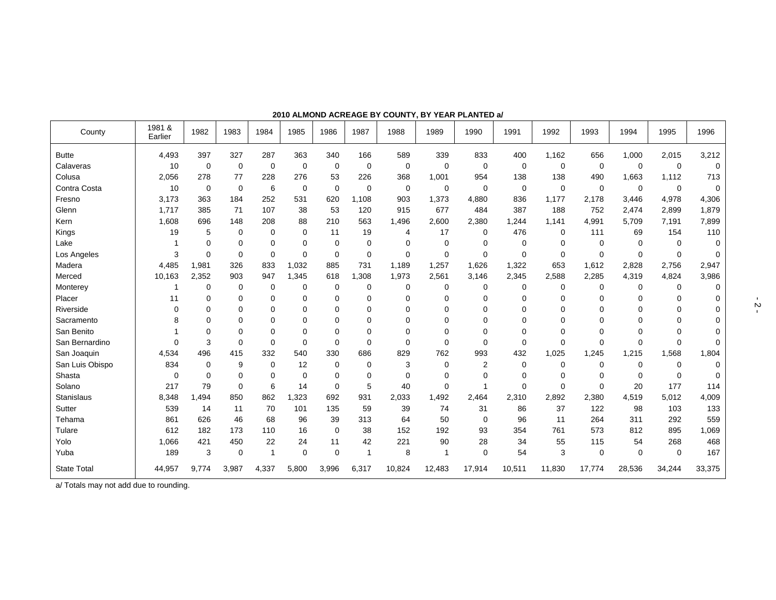| County             | 1981 &<br>Earlier | 1982        | 1983        | 1984        | 1985        | 1986        | 1987           | 1988        | 1989     | 1990        | 1991        | 1992        | 1993        | 1994        | 1995        | 1996        |
|--------------------|-------------------|-------------|-------------|-------------|-------------|-------------|----------------|-------------|----------|-------------|-------------|-------------|-------------|-------------|-------------|-------------|
| <b>Butte</b>       | 4,493             | 397         | 327         | 287         | 363         | 340         | 166            | 589         | 339      | 833         | 400         | 1,162       | 656         | 1,000       | 2,015       | 3,212       |
| Calaveras          | 10                | $\mathbf 0$ | 0           | 0           | $\mathbf 0$ | $\mathbf 0$ | 0              | $\mathbf 0$ | 0        | $\mathbf 0$ | 0           | 0           | 0           | $\mathbf 0$ | $\mathbf 0$ | 0           |
| Colusa             | 2,056             | 278         | 77          | 228         | 276         | 53          | 226            | 368         | 1,001    | 954         | 138         | 138         | 490         | 1,663       | 1,112       | 713         |
| Contra Costa       | 10                | $\mathbf 0$ | $\mathbf 0$ | 6           | $\mathbf 0$ | $\Omega$    | $\mathbf 0$    | $\mathbf 0$ | 0        | $\mathbf 0$ | $\mathbf 0$ | $\mathbf 0$ | $\mathbf 0$ | $\mathbf 0$ | $\mathbf 0$ | $\mathbf 0$ |
| Fresno             | 3,173             | 363         | 184         | 252         | 531         | 620         | 1,108          | 903         | 1,373    | 4,880       | 836         | 1,177       | 2,178       | 3,446       | 4,978       | 4,306       |
| Glenn              | 1,717             | 385         | 71          | 107         | 38          | 53          | 120            | 915         | 677      | 484         | 387         | 188         | 752         | 2,474       | 2,899       | 1,879       |
| Kern               | 1,608             | 696         | 148         | 208         | 88          | 210         | 563            | 1,496       | 2,600    | 2,380       | 1,244       | 1,141       | 4,991       | 5,709       | 7,191       | 7,899       |
| Kings              | 19                | 5           | $\mathbf 0$ | $\mathbf 0$ | $\mathbf 0$ | 11          | 19             | 4           | 17       | 0           | 476         | 0           | 111         | 69          | 154         | 110         |
| Lake               |                   | $\Omega$    | 0           | 0           | 0           | 0           | 0              | $\Omega$    | 0        | $\mathbf 0$ | $\mathbf 0$ | 0           | 0           | 0           | $\Omega$    | 0           |
| Los Angeles        | 3                 | $\Omega$    | $\mathbf 0$ | 0           | $\mathbf 0$ | $\Omega$    | $\mathbf 0$    | $\mathbf 0$ | 0        | $\mathbf 0$ | $\mathbf 0$ | $\mathbf 0$ | 0           | $\Omega$    | $\mathbf 0$ | 0           |
| Madera             | 4,485             | 1,981       | 326         | 833         | 1,032       | 885         | 731            | 1,189       | 1,257    | 1,626       | 1,322       | 653         | 1,612       | 2,828       | 2,756       | 2,947       |
| Merced             | 10,163            | 2,352       | 903         | 947         | 1,345       | 618         | ,308           | 1,973       | 2,561    | 3,146       | 2,345       | 2,588       | 2,285       | 4,319       | 4,824       | 3,986       |
| Monterey           |                   | $\mathbf 0$ | 0           | 0           | $\mathbf 0$ | $\mathbf 0$ | $\mathbf 0$    | 0           | 0        | $\mathbf 0$ | $\mathbf 0$ | $\mathbf 0$ | 0           | 0           | 0           | 0           |
| Placer             | 11                | $\Omega$    | 0           | $\Omega$    | $\Omega$    | $\Omega$    | $\Omega$       | 0           | $\Omega$ | $\mathbf 0$ | $\Omega$    | $\Omega$    | 0           | $\Omega$    | $\Omega$    | 0           |
| Riverside          | $\Omega$          | $\Omega$    | 0           | 0           | $\mathbf 0$ | $\Omega$    | $\Omega$       | 0           | $\Omega$ | $\mathbf 0$ | $\mathbf 0$ | $\Omega$    | $\Omega$    | $\Omega$    | $\Omega$    | 0           |
| Sacramento         | 8                 | $\Omega$    | 0           | 0           | $\Omega$    | $\Omega$    | $\Omega$       | 0           | $\Omega$ | $\Omega$    | $\Omega$    | $\Omega$    | O           | $\Omega$    | 0           | $\Omega$    |
| San Benito         |                   | $\Omega$    | $\Omega$    | 0           | 0           | $\mathbf 0$ | $\Omega$       | 0           | $\Omega$ | 0           | $\Omega$    | $\Omega$    | $\Omega$    | 0           | 0           | 0           |
| San Bernardino     | $\Omega$          | 3           | 0           | 0           | $\Omega$    | $\Omega$    | $\Omega$       | $\Omega$    | $\Omega$ | $\Omega$    | $\mathbf 0$ | $\Omega$    | $\Omega$    | $\Omega$    | $\Omega$    | $\Omega$    |
| San Joaquin        | 4,534             | 496         | 415         | 332         | 540         | 330         | 686            | 829         | 762      | 993         | 432         | 1,025       | 1,245       | 1,215       | 1,568       | 1,804       |
| San Luis Obispo    | 834               | $\Omega$    | 9           | 0           | 12          | 0           | 0              | 3           | 0        | 2           | 0           | 0           | 0           | 0           | 0           | 0           |
| Shasta             | $\Omega$          | $\Omega$    | $\Omega$    | $\Omega$    | $\Omega$    | $\Omega$    | $\Omega$       | $\Omega$    | $\Omega$ | $\Omega$    | $\Omega$    | $\Omega$    | $\Omega$    | $\Omega$    | $\Omega$    | $\Omega$    |
| Solano             | 217               | 79          | 0           | 6           | 14          | $\mathbf 0$ | 5              | 40          | 0        | 1           | $\mathbf 0$ | $\mathbf 0$ | 0           | 20          | 177         | 114         |
| <b>Stanislaus</b>  | 8,348             | 1,494       | 850         | 862         | 1,323       | 692         | 931            | 2,033       | 1,492    | 2,464       | 2,310       | 2,892       | 2,380       | 4,519       | 5,012       | 4,009       |
| Sutter             | 539               | 14          | 11          | 70          | 101         | 135         | 59             | 39          | 74       | 31          | 86          | 37          | 122         | 98          | 103         | 133         |
| Tehama             | 861               | 626         | 46          | 68          | 96          | 39          | 313            | 64          | 50       | 0           | 96          | 11          | 264         | 311         | 292         | 559         |
| Tulare             | 612               | 182         | 173         | 110         | 16          | $\mathbf 0$ | 38             | 152         | 192      | 93          | 354         | 761         | 573         | 812         | 895         | 1,069       |
| Yolo               | 1,066             | 421         | 450         | 22          | 24          | 11          | 42             | 221         | 90       | 28          | 34          | 55          | 115         | 54          | 268         | 468         |
| Yuba               | 189               | 3           | 0           | 1           | 0           | $\mathbf 0$ | $\overline{1}$ | 8           | 1        | $\mathbf 0$ | 54          | 3           | $\Omega$    | $\Omega$    | $\mathbf 0$ | 167         |
| <b>State Total</b> | 44,957            | 9,774       | 3,987       | 4,337       | 5,800       | 3,996       | 6,317          | 10,824      | 12,483   | 17,914      | 10,511      | 11,830      | 17,774      | 28,536      | 34,244      | 33,375      |

**2010 ALMOND ACREAGE BY COUNTY, BY YEAR PLANTED a/** 

a/ Totals may not add due to rounding.

 $\frac{1}{2}$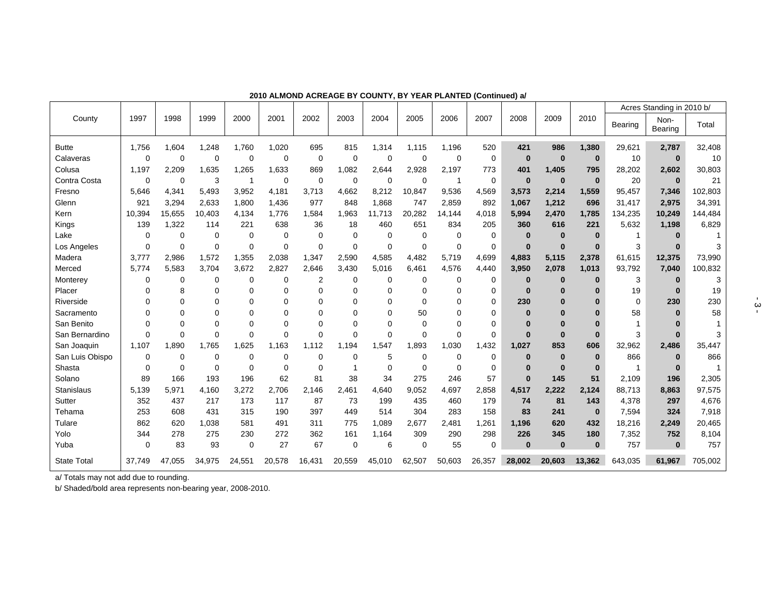|                    |             |          |             |             |          |             |             |             |          |          |             |              |          |             |          | Acres Standing in 2010 b/ |         |
|--------------------|-------------|----------|-------------|-------------|----------|-------------|-------------|-------------|----------|----------|-------------|--------------|----------|-------------|----------|---------------------------|---------|
| County             | 1997        | 1998     | 1999        | 2000        | 2001     | 2002        | 2003        | 2004        | 2005     | 2006     | 2007        | 2008         | 2009     | 2010        | Bearing  | Non-<br>Bearing           | Total   |
| <b>Butte</b>       | 1,756       | 1,604    | 1,248       | 1,760       | 1,020    | 695         | 815         | 1,314       | 1,115    | 1,196    | 520         | 421          | 986      | 1,380       | 29,621   | 2,787                     | 32,408  |
| Calaveras          | $\mathbf 0$ | 0        | 0           | $\mathbf 0$ | 0        | 0           | $\mathbf 0$ | 0           | 0        | 0        | 0           | $\bf{0}$     | $\bf{0}$ | $\bf{0}$    | 10       | $\bf{0}$                  | 10      |
| Colusa             | 1,197       | 2,209    | 1,635       | 1,265       | 1,633    | 869         | 1,082       | 2,644       | 2,928    | 2,197    | 773         | 401          | 1,405    | 795         | 28,202   | 2,602                     | 30,803  |
| Contra Costa       | $\mathbf 0$ | 0        | 3           | -1          | 0        | $\mathbf 0$ | $\mathbf 0$ | 0           | 0        | 1        | 0           | $\mathbf 0$  | $\bf{0}$ | $\bf{0}$    | 20       | $\bf{0}$                  | 21      |
| Fresno             | 5.646       | 4,341    | 5,493       | 3,952       | 4,181    | 3,713       | 4,662       | 8,212       | 10,847   | 9,536    | 4,569       | 3,573        | 2,214    | 1,559       | 95,457   | 7,346                     | 102,803 |
| Glenn              | 921         | 3,294    | 2,633       | 1,800       | 1,436    | 977         | 848         | 1,868       | 747      | 2,859    | 892         | 1,067        | 1,212    | 696         | 31,417   | 2,975                     | 34,391  |
| Kern               | 10,394      | 15,655   | 10.403      | 4.134       | 1,776    | 1.584       | 1,963       | 11.713      | 20,282   | 14,144   | 4,018       | 5,994        | 2,470    | 1,785       | 134,235  | 10,249                    | 144,484 |
| Kings              | 139         | 1,322    | 114         | 221         | 638      | 36          | 18          | 460         | 651      | 834      | 205         | 360          | 616      | 221         | 5,632    | 1,198                     | 6,829   |
| Lake               | $\mathbf 0$ | 0        | 0           | 0           | 0        | 0           | $\Omega$    | 0           | 0        | 0        | $\mathbf 0$ | $\bf{0}$     | $\bf{0}$ | $\bf{0}$    |          | $\bf{0}$                  |         |
| Los Angeles        | $\Omega$    | 0        | 0           | $\mathbf 0$ | $\Omega$ | 0           | $\Omega$    | $\Omega$    | 0        | $\Omega$ | 0           | $\mathbf{0}$ | $\bf{0}$ | $\bf{0}$    | 3        | $\Omega$                  |         |
| Madera             | 3,777       | 2,986    | 1,572       | 1,355       | 2,038    | 1,347       | 2,590       | 4,585       | 4,482    | 5,719    | 4,699       | 4,883        | 5,115    | 2,378       | 61,615   | 12,375                    | 73,990  |
| Merced             | 5,774       | 5,583    | 3,704       | 3,672       | 2,827    | 2,646       | 3,430       | 5,016       | 6,461    | 4,576    | 4,440       | 3,950        | 2,078    | 1,013       | 93,792   | 7,040                     | 100,832 |
| Monterey           | 0           | 0        | 0           | 0           | 0        | 2           | $\Omega$    | 0           | 0        | 0        | $\Omega$    | $\bf{0}$     | 0        | $\bf{0}$    | 3        | $\bf{0}$                  | 3       |
| Placer             | $\Omega$    | 8        | 0           | $\Omega$    | 0        | 0           | $\Omega$    | 0           | 0        | 0        | 0           | $\bf{0}$     | $\bf{0}$ | $\bf{0}$    | 19       | $\bf{0}$                  | 19      |
| Riverside          | $\Omega$    | $\Omega$ | $\Omega$    | $\Omega$    | 0        | 0           | $\Omega$    | $\Omega$    | $\Omega$ | $\Omega$ | 0           | 230          | $\bf{0}$ | $\Omega$    | $\Omega$ | 230                       | 230     |
| Sacramento         | $\Omega$    | $\Omega$ | $\Omega$    | $\Omega$    | 0        | $\Omega$    | $\Omega$    | $\Omega$    | 50       | $\Omega$ | $\Omega$    | $\bf{0}$     | $\bf{0}$ | $\bf{0}$    | 58       | $\bf{0}$                  | 58      |
| San Benito         | $\Omega$    | $\Omega$ | $\Omega$    | $\Omega$    | 0        | $\Omega$    | $\Omega$    | 0           | $\Omega$ | $\Omega$ | 0           | $\bf{0}$     | $\bf{0}$ | $\bf{0}$    | 1        |                           |         |
| San Bernardino     | $\Omega$    | $\Omega$ | $\Omega$    | $\Omega$    | $\Omega$ | $\Omega$    | $\Omega$    | $\Omega$    | 0        | $\Omega$ | $\Omega$    | $\mathbf{0}$ | $\bf{0}$ | $\bf{0}$    | 3        | $\Omega$                  |         |
| San Joaquin        | 1,107       | 1,890    | 1,765       | 1.625       | 1,163    | 1.112       | 1,194       | 1,547       | 1,893    | 1,030    | 1,432       | 1,027        | 853      | 606         | 32,962   | 2,486                     | 35,447  |
| San Luis Obispo    | 0           | 0        | $\mathbf 0$ | $\mathbf 0$ | 0        | $\Omega$    | $\Omega$    | 5           | 0        | 0        | $\mathbf 0$ | $\bf{0}$     | $\bf{0}$ | $\bf{0}$    | 866      | $\bf{0}$                  | 866     |
| Shasta             | 0           | 0        | $\mathbf 0$ | $\mathbf 0$ | 0        | 0           |             | $\mathbf 0$ | 0        | $\Omega$ | $\mathbf 0$ | $\bf{0}$     | $\bf{0}$ | $\bf{0}$    | 1        | $\bf{0}$                  |         |
| Solano             | 89          | 166      | 193         | 196         | 62       | 81          | 38          | 34          | 275      | 246      | 57          | $\mathbf{0}$ | 145      | 51          | 2,109    | 196                       | 2,305   |
| Stanislaus         | 5,139       | 5,971    | 4,160       | 3,272       | 2,706    | 2,146       | 2,461       | 4,640       | 9,052    | 4,697    | 2,858       | 4,517        | 2,222    | 2,124       | 88,713   | 8,863                     | 97,575  |
| Sutter             | 352         | 437      | 217         | 173         | 117      | 87          | 73          | 199         | 435      | 460      | 179         | 74           | 81       | 143         | 4,378    | 297                       | 4,676   |
| Tehama             | 253         | 608      | 431         | 315         | 190      | 397         | 449         | 514         | 304      | 283      | 158         | 83           | 241      | $\mathbf 0$ | 7,594    | 324                       | 7,918   |
| Tulare             | 862         | 620      | 1,038       | 581         | 491      | 311         | 775         | 1,089       | 2,677    | 2,481    | 1,261       | 1,196        | 620      | 432         | 18,216   | 2,249                     | 20,465  |
| Yolo               | 344         | 278      | 275         | 230         | 272      | 362         | 161         | 1,164       | 309      | 290      | 298         | 226          | 345      | 180         | 7,352    | 752                       | 8,104   |
| Yuba               | $\mathbf 0$ | 83       | 93          | $\mathbf 0$ | 27       | 67          | $\mathbf 0$ | 6           | 0        | 55       | $\mathbf 0$ | $\bf{0}$     | $\bf{0}$ | $\bf{0}$    | 757      | $\bf{0}$                  | 757     |
| <b>State Total</b> | 37.749      | 47,055   | 34,975      | 24,551      | 20,578   | 16,431      | 20,559      | 45,010      | 62,507   | 50,603   | 26,357      | 28,002       | 20,603   | 13,362      | 643,035  | 61,967                    | 705,002 |

**2010 ALMOND ACREAGE BY COUNTY, BY YEAR PLANTED (Continued) a/** 

a/ Totals may not add due to rounding.

b/ Shaded/bold area represents non-bearing year, 2008-2010.

 $\frac{1}{2}$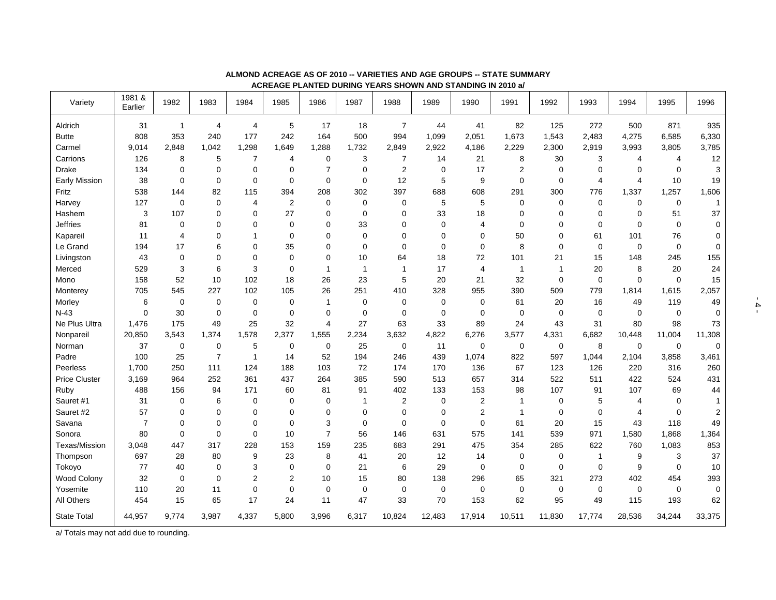| Variety              | 1981 &<br>Earlier | 1982           | 1983           | 1984                    | 1985             | 1986           | 1987         | 1988           | 1989        | 1990           | 1991           | 1992        | 1993           | 1994        | 1995        | 1996           |
|----------------------|-------------------|----------------|----------------|-------------------------|------------------|----------------|--------------|----------------|-------------|----------------|----------------|-------------|----------------|-------------|-------------|----------------|
| Aldrich              | 31                | $\mathbf{1}$   | 4              | 4                       | 5                | 17             | 18           | $\overline{7}$ | 44          | 41             | 82             | 125         | 272            | 500         | 871         | 935            |
| <b>Butte</b>         | 808               | 353            | 240            | 177                     | 242              | 164            | 500          | 994            | 1,099       | 2,051          | 1,673          | 1,543       | 2,483          | 4,275       | 6,585       | 6,330          |
| Carmel               | 9,014             | 2,848          | 1,042          | 1,298                   | 1,649            | 1,288          | 1,732        | 2,849          | 2,922       | 4,186          | 2,229          | 2,300       | 2,919          | 3,993       | 3,805       | 3,785          |
| Carrions             | 126               | 8              | 5              | $\overline{7}$          | 4                | $\mathbf 0$    | 3            | 7              | 14          | 21             | 8              | 30          | 3              | 4           | 4           | 12             |
| <b>Drake</b>         | 134               | $\mathbf 0$    | $\mathbf 0$    | 0                       | $\mathbf 0$      | $\overline{7}$ | $\mathbf 0$  | 2              | 0           | 17             | $\overline{2}$ | $\mathbf 0$ | $\mathbf 0$    | $\Omega$    | $\Omega$    | 3              |
| Early Mission        | 38                | $\mathbf 0$    | $\mathbf 0$    | $\mathbf 0$             | $\mathbf 0$      | $\mathbf 0$    | $\mathbf 0$  | 12             | 5           | 9              | 0              | $\mathbf 0$ | $\overline{4}$ | 4           | 10          | 19             |
| Fritz                | 538               | 144            | 82             | 115                     | 394              | 208            | 302          | 397            | 688         | 608            | 291            | 300         | 776            | 1,337       | 1,257       | 1,606          |
| Harvey               | 127               | $\mathbf 0$    | 0              | 4                       | $\boldsymbol{2}$ | $\mathbf 0$    | $\pmb{0}$    | 0              | 5           | 5              | 0              | 0           | $\mathbf 0$    | 0           | $\mathbf 0$ | -1             |
| Hashem               | 3                 | 107            | 0              | 0                       | 27               | 0              | $\mathbf 0$  | 0              | 33          | 18             | 0              | $\mathbf 0$ | $\mathbf 0$    | 0           | 51          | 37             |
| <b>Jeffries</b>      | 81                | $\mathbf 0$    | 0              | 0                       | $\mathbf 0$      | 0              | 33           | 0              | $\mathbf 0$ | $\overline{4}$ | 0              | $\mathbf 0$ | $\mathbf 0$    | $\mathbf 0$ | $\mathbf 0$ | $\mathbf 0$    |
| Kapareil             | 11                | $\overline{4}$ | 0              | 1                       | $\mathbf 0$      | 0              | $\mathbf 0$  | 0              | 0           | $\mathbf 0$    | 50             | 0           | 61             | 101         | 76          | $\mathbf 0$    |
| Le Grand             | 194               | 17             | 6              | 0                       | 35               | 0              | $\mathbf 0$  | 0              | 0           | $\mathbf 0$    | 8              | $\mathbf 0$ | $\mathbf 0$    | 0           | $\mathbf 0$ | $\mathbf 0$    |
| Livingston           | 43                | $\mathbf 0$    | 0              | 0                       | $\mathbf 0$      | 0              | 10           | 64             | 18          | 72             | 101            | 21          | 15             | 148         | 245         | 155            |
| Merced               | 529               | 3              | 6              | 3                       | $\mathbf 0$      | $\mathbf{1}$   | $\mathbf{1}$ | -1             | 17          | $\overline{4}$ | $\mathbf 1$    | 1           | 20             | 8           | 20          | 24             |
| Mono                 | 158               | 52             | 10             | 102                     | 18               | 26             | 23           | 5              | 20          | 21             | 32             | $\mathbf 0$ | $\mathbf 0$    | 0           | $\mathbf 0$ | 15             |
| Monterey             | 705               | 545            | 227            | 102                     | 105              | 26             | 251          | 410            | 328         | 955            | 390            | 509         | 779            | 1,814       | 1,615       | 2,057          |
| Morley               | 6                 | $\mathbf 0$    | $\mathbf 0$    | 0                       | $\mathbf 0$      | $\mathbf{1}$   | $\mathbf 0$  | $\mathbf 0$    | $\mathbf 0$ | $\mathbf 0$    | 61             | 20          | 16             | 49          | 119         | 49             |
| $N-43$               | $\mathbf 0$       | 30             | $\mathbf 0$    | $\pmb{0}$               | $\mathbf 0$      | $\mathbf 0$    | $\mathbf 0$  | 0              | $\mathbf 0$ | $\mathbf 0$    | 0              | $\mathbf 0$ | $\mathbf 0$    | 0           | $\mathbf 0$ | $\mathbf 0$    |
| Ne Plus Ultra        | 1,476             | 175            | 49             | 25                      | 32               | $\overline{4}$ | 27           | 63             | 33          | 89             | 24             | 43          | 31             | 80          | 98          | 73             |
| Nonpareil            | 20,850            | 3,543          | 1,374          | 1,578                   | 2,377            | 1,555          | 2,234        | 3,632          | 4,822       | 6,276          | 3,577          | 4,331       | 6,682          | 10,448      | 11,004      | 11,308         |
| Norman               | 37                | $\pmb{0}$      | $\mathbf 0$    | 5                       | $\mathbf 0$      | $\mathbf 0$    | 25           | $\mathbf 0$    | 11          | $\mathbf 0$    | 0              | $\mathbf 0$ | 8              | 0           | $\mathbf 0$ | $\mathbf 0$    |
| Padre                | 100               | 25             | $\overline{7}$ | $\overline{\mathbf{1}}$ | 14               | 52             | 194          | 246            | 439         | 1,074          | 822            | 597         | 1,044          | 2,104       | 3,858       | 3,461          |
| Peerless             | 1.700             | 250            | 111            | 124                     | 188              | 103            | 72           | 174            | 170         | 136            | 67             | 123         | 126            | 220         | 316         | 260            |
| <b>Price Cluster</b> | 3,169             | 964            | 252            | 361                     | 437              | 264            | 385          | 590            | 513         | 657            | 314            | 522         | 511            | 422         | 524         | 431            |
| Ruby                 | 488               | 156            | 94             | 171                     | 60               | 81             | 91           | 402            | 133         | 153            | 98             | 107         | 91             | 107         | 69          | 44             |
| Sauret #1            | 31                | 0              | 6              | 0                       | 0                | $\mathbf 0$    | 1            | 2              | 0           | $\overline{2}$ | 1              | 0           | 5              | 4           | 0           |                |
| Sauret #2            | 57                | 0              | 0              | 0                       | $\mathbf 0$      | $\mathbf 0$    | $\mathbf 0$  | $\mathbf 0$    | $\mathbf 0$ | $\overline{2}$ | 1              | $\mathbf 0$ | $\mathbf 0$    | 4           | $\Omega$    | $\overline{2}$ |
| Savana               | $\overline{7}$    | $\mathbf 0$    | 0              | 0                       | $\mathbf 0$      | 3              | $\mathbf 0$  | 0              | $\mathbf 0$ | $\overline{0}$ | 61             | 20          | 15             | 43          | 118         | 49             |
| Sonora               | 80                | 0              | 0              | 0                       | 10               | $\overline{7}$ | 56           | 146            | 631         | 575            | 141            | 539         | 971            | 1,580       | 1,868       | 1,364          |
| Texas/Mission        | 3,048             | 447            | 317            | 228                     | 153              | 159            | 235          | 683            | 291         | 475            | 354            | 285         | 622            | 760         | 1,083       | 853            |
| Thompson             | 697               | 28             | 80             | 9                       | 23               | 8              | 41           | 20             | 12          | 14             | 0              | $\mathbf 0$ | $\overline{1}$ | 9           | 3           | 37             |
| Tokoyo               | 77                | 40             | 0              | 3                       | 0                | $\mathbf 0$    | 21           | 6              | 29          | $\mathbf 0$    | 0              | $\mathbf 0$ | $\mathbf 0$    | 9           | $\mathbf 0$ | 10             |
| Wood Colony          | 32                | $\mathbf 0$    | $\mathbf 0$    | 2                       | $\overline{2}$   | 10             | 15           | 80             | 138         | 296            | 65             | 321         | 273            | 402         | 454         | 393            |
| Yosemite             | 110               | 20             | 11             | $\mathbf 0$             | $\mathbf 0$      | $\mathbf 0$    | $\mathbf 0$  | 0              | 0           | $\mathbf 0$    | 0              | $\mathbf 0$ | $\mathbf 0$    | 0           | $\Omega$    | $\Omega$       |
| All Others           | 454               | 15             | 65             | 17                      | 24               | 11             | 47           | 33             | 70          | 153            | 62             | 95          | 49             | 115         | 193         | 62             |
| <b>State Total</b>   | 44,957            | 9,774          | 3,987          | 4,337                   | 5,800            | 3,996          | 6,317        | 10,824         | 12,483      | 17,914         | 10,511         | 11,830      | 17,774         | 28,536      | 34,244      | 33,375         |

#### **ALMOND ACREAGE AS OF 2010 -- VARIETIES AND AGE GROUPS -- STATE SUMMARY ACREAGE PLANTED DURING YEARS SHOWN AND STANDING IN 2010 a/**

a/ Totals may not add due to rounding.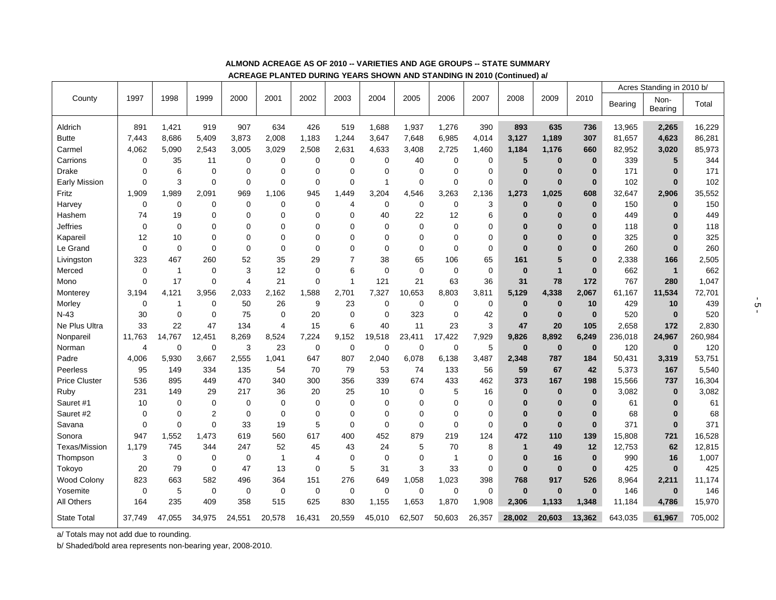|                      |             |              |                |                |                |             |                |              |             |                |             |              |              |              |                | Acres Standing in 2010 b/ |         |
|----------------------|-------------|--------------|----------------|----------------|----------------|-------------|----------------|--------------|-------------|----------------|-------------|--------------|--------------|--------------|----------------|---------------------------|---------|
| County               | 1997        | 1998         | 1999           | 2000           | 2001           | 2002        | 2003           | 2004         | 2005        | 2006           | 2007        | 2008         | 2009         | 2010         | <b>Bearing</b> | Non-                      | Total   |
|                      |             |              |                |                |                |             |                |              |             |                |             |              |              |              |                | <b>Bearing</b>            |         |
| Aldrich              | 891         | 1,421        | 919            | 907            | 634            | 426         | 519            | 1,688        | 1,937       | 1,276          | 390         | 893          | 635          | 736          | 13,965         | 2,265                     | 16,229  |
| <b>Butte</b>         | 7,443       | 8,686        | 5,409          | 3,873          | 2,008          | 1,183       | 1,244          | 3,647        | 7,648       | 6,985          | 4,014       | 3,127        | 1,189        | 307          | 81,657         | 4,623                     | 86,281  |
| Carmel               | 4,062       | 5,090        | 2,543          | 3,005          | 3,029          | 2,508       | 2,631          | 4,633        | 3,408       | 2,725          | 1,460       | 1,184        | 1,176        | 660          | 82,952         | 3,020                     | 85,973  |
| Carrions             | $\mathbf 0$ | 35           | 11             | 0              | $\mathbf 0$    | 0           | 0              | $\mathbf 0$  | 40          | 0              | 0           | 5            | $\bf{0}$     | $\bf{0}$     | 339            | 5                         | 344     |
| Drake                | $\mathbf 0$ | 6            | $\mathbf 0$    | 0              | $\mathbf 0$    | 0           | $\mathbf 0$    | $\mathbf 0$  | 0           | 0              | $\mathbf 0$ | $\bf{0}$     | $\bf{0}$     | $\bf{0}$     | 171            | $\bf{0}$                  | 171     |
| Early Mission        | $\mathbf 0$ | 3            | $\mathbf 0$    | $\mathbf 0$    | $\mathbf 0$    | $\mathbf 0$ | $\mathbf 0$    | $\mathbf{1}$ | 0           | $\mathbf 0$    | $\mathbf 0$ | $\bf{0}$     | $\mathbf 0$  | $\mathbf 0$  | 102            | $\bf{0}$                  | 102     |
| Fritz                | 1,909       | 1,989        | 2,091          | 969            | 1.106          | 945         | ,449           | 3,204        | 4,546       | 3,263          | 2,136       | 1,273        | 1,025        | 608          | 32,647         | 2,906                     | 35,552  |
| Harvey               | $\mathbf 0$ | $\mathbf 0$  | $\mathbf 0$    | $\mathbf 0$    | $\mathbf 0$    | $\mathbf 0$ | 4              | $\mathbf 0$  | 0           | $\mathbf 0$    | 3           | $\bf{0}$     | $\bf{0}$     | $\mathbf 0$  | 150            | $\bf{0}$                  | 150     |
| Hashem               | 74          | 19           | $\mathbf 0$    | $\Omega$       | $\Omega$       | 0           | $\Omega$       | 40           | 22          | 12             | 6           | $\bf{0}$     | $\bf{0}$     | $\bf{0}$     | 449            | $\bf{0}$                  | 449     |
| <b>Jeffries</b>      | $\mathbf 0$ | $\mathbf 0$  | $\mathbf 0$    | $\Omega$       | $\Omega$       | 0           | $\Omega$       | $\Omega$     | $\Omega$    | $\mathbf 0$    | 0           | $\bf{0}$     | $\bf{0}$     | $\bf{0}$     | 118            | $\bf{0}$                  | 118     |
| Kapareil             | 12          | 10           | 0              | $\Omega$       | $\Omega$       | 0           | 0              | $\Omega$     | $\Omega$    | $\Omega$       | $\mathbf 0$ | $\bf{0}$     | $\bf{0}$     | $\bf{0}$     | 325            | $\bf{0}$                  | 325     |
| Le Grand             | $\mathbf 0$ | $\mathbf 0$  | $\mathbf 0$    | 0              | $\Omega$       | 0           | $\Omega$       | $\mathbf 0$  | 0           | $\mathbf 0$    | 0           | $\bf{0}$     | $\bf{0}$     | $\bf{0}$     | 260            | $\bf{0}$                  | 260     |
| Livingston           | 323         | 467          | 260            | 52             | 35             | 29          | $\overline{7}$ | 38           | 65          | 106            | 65          | 161          | 5            | $\mathbf{0}$ | 2,338          | 166                       | 2,505   |
| Merced               | $\mathbf 0$ | $\mathbf{1}$ | 0              | 3              | 12             | 0           | 6              | $\mathbf 0$  | $\mathbf 0$ | 0              | $\mathbf 0$ | $\bf{0}$     | $\mathbf{1}$ | $\bf{0}$     | 662            | $\mathbf{1}$              | 662     |
| Mono                 | $\mathbf 0$ | 17           | $\mathbf 0$    | $\overline{4}$ | 21             | 0           | $\overline{1}$ | 121          | 21          | 63             | 36          | 31           | 78           | 172          | 767            | 280                       | 1,047   |
| Monterey             | 3.194       | 4,121        | 3,956          | 2,033          | 2,162          | 1,588       | 2,701          | 7,327        | 10,653      | 8,803          | 3,811       | 5,129        | 4,338        | 2,067        | 61,167         | 11,534                    | 72,701  |
| Morley               | $\mathbf 0$ | 1            | $\mathbf 0$    | 50             | 26             | 9           | 23             | $\mathbf 0$  | 0           | 0              | $\mathbf 0$ | $\bf{0}$     | $\bf{0}$     | 10           | 429            | 10                        | 439     |
| $N-43$               | 30          | $\mathbf 0$  | $\mathbf 0$    | 75             | $\mathbf 0$    | 20          | 0              | $\mathbf 0$  | 323         | $\mathbf 0$    | 42          | $\bf{0}$     | $\bf{0}$     | $\mathbf 0$  | 520            | $\bf{0}$                  | 520     |
| Ne Plus Ultra        | 33          | 22           | 47             | 134            | $\overline{4}$ | 15          | 6              | 40           | 11          | 23             | 3           | 47           | 20           | 105          | 2,658          | 172                       | 2,830   |
| Nonpareil            | 11,763      | 14.767       | 12,451         | 8,269          | 8,524          | 7,224       | 9,152          | 19,518       | 23,411      | 17.422         | 7,929       | 9,826        | 8,892        | 6,249        | 236,018        | 24,967                    | 260,984 |
| Norman               | 4           | $\mathbf 0$  | $\mathbf 0$    | 3              | 23             | $\pmb{0}$   | $\mathbf 0$    | $\mathbf 0$  | 0           | $\mathbf 0$    | 5           | $\bf{0}$     | $\bf{0}$     | $\bf{0}$     | 120            | $\bf{0}$                  | 120     |
| Padre                | 4,006       | 5.930        | 3,667          | 2.555          | 1,041          | 647         | 807            | 2,040        | 6,078       | 6,138          | 3,487       | 2,348        | 787          | 184          | 50,431         | 3,319                     | 53,751  |
| Peerless             | 95          | 149          | 334            | 135            | 54             | 70          | 79             | 53           | 74          | 133            | 56          | 59           | 67           | 42           | 5,373          | 167                       | 5,540   |
| <b>Price Cluster</b> | 536         | 895          | 449            | 470            | 340            | 300         | 356            | 339          | 674         | 433            | 462         | 373          | 167          | 198          | 15,566         | 737                       | 16,304  |
| Ruby                 | 231         | 149          | 29             | 217            | 36             | 20          | 25             | 10           | 0           | 5              | 16          | $\bf{0}$     | $\bf{0}$     | $\bf{0}$     | 3,082          | $\bf{0}$                  | 3,082   |
| Sauret #1            | 10          | $\Omega$     | $\Omega$       | $\Omega$       | $\Omega$       | 0           | $\Omega$       | $\mathbf 0$  | $\Omega$    | $\Omega$       | $\mathbf 0$ | $\bf{0}$     | $\mathbf 0$  | $\bf{0}$     | 61             | $\bf{0}$                  | 61      |
| Sauret #2            | $\mathbf 0$ | $\mathbf 0$  | $\overline{2}$ | $\mathbf 0$    | $\mathbf 0$    | 0           | $\Omega$       | $\mathbf 0$  | 0           | 0              | 0           | $\bf{0}$     | $\bf{0}$     | $\bf{0}$     | 68             | $\bf{0}$                  | 68      |
| Savana               | $\mathbf 0$ | $\mathbf 0$  | $\mathbf 0$    | 33             | 19             | 5           | $\mathbf 0$    | $\mathbf 0$  | 0           | $\mathbf 0$    | $\mathbf 0$ | $\bf{0}$     | $\mathbf 0$  | $\mathbf 0$  | 371            | $\bf{0}$                  | 371     |
| Sonora               | 947         | 1,552        | 1,473          | 619            | 560            | 617         | 400            | 452          | 879         | 219            | 124         | 472          | 110          | 139          | 15,808         | 721                       | 16,528  |
| Texas/Mission        | 1,179       | 745          | 344            | 247            | 52             | 45          | 43             | 24           | 5           | 70             | 8           | $\mathbf{1}$ | 49           | 12           | 12,753         | 62                        | 12,815  |
| Thompson             | 3           | 0            | $\mathbf 0$    | $\mathbf 0$    | $\mathbf{1}$   | 4           | $\mathbf 0$    | $\mathbf 0$  | 0           | $\overline{1}$ | $\mathbf 0$ | $\bf{0}$     | 16           | $\bf{0}$     | 990            | 16                        | 1,007   |
| Tokoyo               | 20          | 79           | $\mathbf 0$    | 47             | 13             | 0           | 5              | 31           | 3           | 33             | $\mathbf 0$ | $\bf{0}$     | $\bf{0}$     | $\mathbf 0$  | 425            | $\mathbf 0$               | 425     |
| <b>Wood Colony</b>   | 823         | 663          | 582            | 496            | 364            | 151         | 276            | 649          | 1,058       | 1,023          | 398         | 768          | 917          | 526          | 8,964          | 2,211                     | 11,174  |
| Yosemite             | 0           | 5            | 0              | 0              | $\mathbf 0$    | 0           | $\mathbf 0$    | $\mathbf 0$  | 0           | $\mathbf 0$    | $\mathbf 0$ | $\bf{0}$     | $\bf{0}$     | $\bf{0}$     | 146            | $\bf{0}$                  | 146     |
| All Others           | 164         | 235          | 409            | 358            | 515            | 625         | 830            | 1,155        | 1,653       | 1,870          | 1,908       | 2,306        | 1.133        | 1,348        | 11,184         | 4,786                     | 15,970  |
| <b>State Total</b>   | 37,749      | 47,055       | 34,975         | 24,551         | 20,578         | 16,431      | 20,559         | 45,010       | 62,507      | 50,603         | 26,357      | 28,002       | 20,603       | 13,362       | 643,035        | 61,967                    | 705,002 |

#### **ALMOND ACREAGE AS OF 2010 -- VARIETIES AND AGE GROUPS -- STATE SUMMARY**

**ACREAGE PLANTED DURING YEARS SHOWN AND STANDING IN 2010 (Continued) a/** 

a/ Totals may not add due to rounding.

b/ Shaded/bold area represents non-bearing year, 2008-2010.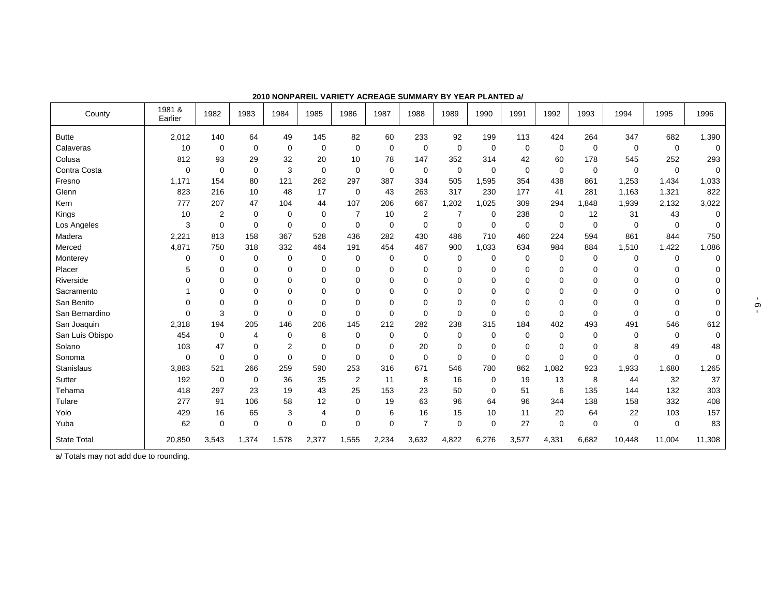| County             | 1981 &<br>Earlier | 1982        | 1983        | 1984           | 1985        | 1986           | 1987        | 1988           | 1989        | 1990        | 1991        | 1992        | 1993        | 1994        | 1995        | 1996     |
|--------------------|-------------------|-------------|-------------|----------------|-------------|----------------|-------------|----------------|-------------|-------------|-------------|-------------|-------------|-------------|-------------|----------|
| <b>Butte</b>       | 2,012             | 140         | 64          | 49             | 145         | 82             | 60          | 233            | 92          | 199         | 113         | 424         | 264         | 347         | 682         | 1,390    |
| Calaveras          | 10                | $\mathbf 0$ | 0           | 0              | $\mathbf 0$ | 0              | $\mathbf 0$ | 0              | 0           | $\mathbf 0$ | 0           | 0           | 0           | 0           | $\mathbf 0$ | $\Omega$ |
| Colusa             | 812               | 93          | 29          | 32             | 20          | 10             | 78          | 147            | 352         | 314         | 42          | 60          | 178         | 545         | 252         | 293      |
| Contra Costa       | 0                 | 0           | $\mathbf 0$ | 3              | $\mathbf 0$ | 0              | $\mathbf 0$ | 0              | $\mathbf 0$ | 0           | $\mathbf 0$ | $\mathbf 0$ | $\mathbf 0$ | 0           | $\mathbf 0$ | $\Omega$ |
| Fresno             | 1.171             | 154         | 80          | 121            | 262         | 297            | 387         | 334            | 505         | 1,595       | 354         | 438         | 861         | 1,253       | 1,434       | 1,033    |
| Glenn              | 823               | 216         | 10          | 48             | 17          | $\mathbf 0$    | 43          | 263            | 317         | 230         | 177         | 41          | 281         | 1,163       | 1,321       | 822      |
| Kern               | 777               | 207         | 47          | 104            | 44          | 107            | 206         | 667            | 1,202       | 1,025       | 309         | 294         | 1.848       | 1,939       | 2,132       | 3,022    |
| Kings              | 10                | 2           | 0           | $\mathbf 0$    | 0           |                | 10          | 2              | 7           | $\mathbf 0$ | 238         | 0           | 12          | 31          | 43          | $\Omega$ |
| Los Angeles        | 3                 | $\mathbf 0$ | $\mathbf 0$ | $\mathbf 0$    | $\mathbf 0$ | $\mathbf 0$    | 0           | $\mathbf 0$    | $\Omega$    | $\mathbf 0$ | $\mathbf 0$ | $\mathbf 0$ | $\mathbf 0$ | $\mathbf 0$ | $\mathbf 0$ |          |
| Madera             | 2,221             | 813         | 158         | 367            | 528         | 436            | 282         | 430            | 486         | 710         | 460         | 224         | 594         | 861         | 844         | 750      |
| Merced             | 4,871             | 750         | 318         | 332            | 464         | 191            | 454         | 467            | 900         | 1,033       | 634         | 984         | 884         | 1,510       | 1,422       | 1,086    |
| Monterey           | 0                 | $\mathbf 0$ | 0           | 0              | 0           | 0              | $\mathbf 0$ | 0              | $\mathbf 0$ | 0           | $\mathbf 0$ | 0           | $\mathbf 0$ | 0           | $\mathbf 0$ | $\Omega$ |
| Placer             | 5                 | $\mathbf 0$ | $\mathbf 0$ | 0              | 0           | 0              | $\Omega$    | 0              | $\mathbf 0$ | 0           | $\mathbf 0$ | 0           | 0           | 0           | 0           |          |
| Riverside          | 0                 | $\Omega$    | 0           | 0              | 0           | $\Omega$       | $\Omega$    | $\Omega$       | $\Omega$    | $\Omega$    | $\Omega$    | 0           | $\Omega$    | $\Omega$    | $\Omega$    |          |
| Sacramento         |                   | $\mathbf 0$ | $\mathbf 0$ | 0              | $\Omega$    | $\Omega$       | $\Omega$    | $\Omega$       | $\Omega$    | $\Omega$    | $\mathbf 0$ | 0           | $\mathbf 0$ | $\Omega$    | $\Omega$    |          |
| San Benito         | 0                 | 0           | $\mathbf 0$ | 0              | 0           | $\Omega$       | $\Omega$    | $\Omega$       | $\Omega$    | $\mathbf 0$ | $\mathbf 0$ | 0           | $\mathbf 0$ | $\Omega$    | $\Omega$    |          |
| San Bernardino     | $\Omega$          | 3           | $\mathbf 0$ | 0              | $\Omega$    | $\Omega$       | $\Omega$    | $\Omega$       | $\Omega$    | $\Omega$    | $\mathbf 0$ | $\mathbf 0$ | $\mathbf 0$ | $\Omega$    | $\Omega$    | 0        |
| San Joaquin        | 2,318             | 194         | 205         | 146            | 206         | 145            | 212         | 282            | 238         | 315         | 184         | 402         | 493         | 491         | 546         | 612      |
| San Luis Obispo    | 454               | $\mathbf 0$ | 4           | 0              | 8           | 0              | 0           | 0              | $\mathbf 0$ | 0           | $\mathbf 0$ | 0           | $\mathbf 0$ | 0           | 0           | $\Omega$ |
| Solano             | 103               | 47          | $\mathbf 0$ | $\overline{2}$ | $\Omega$    | $\Omega$       | $\Omega$    | 20             | $\mathbf 0$ | $\mathbf 0$ | $\mathbf 0$ | $\mathbf 0$ | $\mathbf 0$ | 8           | 49          | 48       |
| Sonoma             | $\Omega$          | $\mathbf 0$ | $\mathbf 0$ | $\mathbf 0$    | $\mathbf 0$ | $\Omega$       | $\Omega$    | $\mathbf 0$    | $\Omega$    | $\Omega$    | $\mathbf 0$ | $\mathbf 0$ | $\mathbf 0$ | $\Omega$    | $\Omega$    | $\Omega$ |
| <b>Stanislaus</b>  | 3,883             | 521         | 266         | 259            | 590         | 253            | 316         | 671            | 546         | 780         | 862         | 1,082       | 923         | 1,933       | 1,680       | 1,265    |
| Sutter             | 192               | $\mathbf 0$ | 0           | 36             | 35          | $\overline{2}$ | 11          | 8              | 16          | 0           | 19          | 13          | 8           | 44          | 32          | 37       |
| Tehama             | 418               | 297         | 23          | 19             | 43          | 25             | 153         | 23             | 50          | 0           | 51          | 6           | 135         | 144         | 132         | 303      |
| Tulare             | 277               | 91          | 106         | 58             | 12          | 0              | 19          | 63             | 96          | 64          | 96          | 344         | 138         | 158         | 332         | 408      |
| Yolo               | 429               | 16          | 65          | 3              | 4           | 0              | 6           | 16             | 15          | 10          | 11          | 20          | 64          | 22          | 103         | 157      |
| Yuba               | 62                | $\mathbf 0$ | $\mathbf 0$ | 0              | 0           | $\Omega$       | $\mathbf 0$ | $\overline{7}$ | $\mathbf 0$ | $\mathbf 0$ | 27          | $\mathbf 0$ | $\mathbf 0$ | $\mathbf 0$ | $\mathbf 0$ | 83       |
| <b>State Total</b> | 20,850            | 3,543       | 1,374       | 1,578          | 2,377       | 1,555          | 2,234       | 3,632          | 4,822       | 6,276       | 3,577       | 4,331       | 6,682       | 10,448      | 11,004      | 11,308   |

**2010 NONPAREIL VARIETY ACREAGE SUMMARY BY YEAR PLANTED a/** 

a/ Totals may not add due to rounding.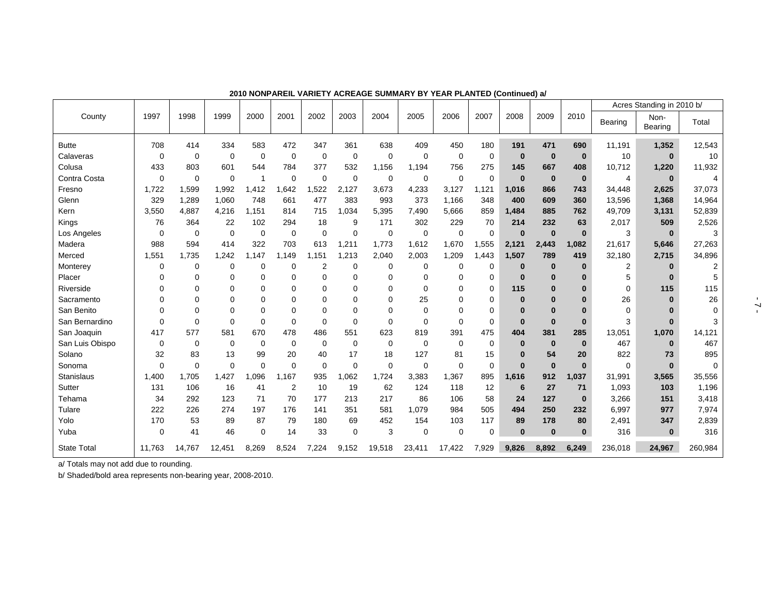|                    |              |             |             |             |             |                |             |             |             |             |             |              |              |              |                | Acres Standing in 2010 b/ |          |
|--------------------|--------------|-------------|-------------|-------------|-------------|----------------|-------------|-------------|-------------|-------------|-------------|--------------|--------------|--------------|----------------|---------------------------|----------|
| County             | 1997         | 1998        | 1999        | 2000        | 2001        | 2002           | 2003        | 2004        | 2005        | 2006        | 2007        | 2008         | 2009         | 2010         | <b>Bearing</b> | Non-<br>Bearing           | Total    |
| <b>Butte</b>       | 708          | 414         | 334         | 583         | 472         | 347            | 361         | 638         | 409         | 450         | 180         | 191          | 471          | 690          | 11,191         | 1,352                     | 12,543   |
| Calaveras          | 0            | $\mathbf 0$ | $\mathbf 0$ | $\mathbf 0$ | $\mathbf 0$ | $\mathbf 0$    | $\mathbf 0$ | $\mathbf 0$ | $\mathbf 0$ | $\mathbf 0$ | $\mathbf 0$ | $\mathbf 0$  | $\bf{0}$     | $\bf{0}$     | 10             | $\bf{0}$                  | 10       |
| Colusa             | 433          | 803         | 601         | 544         | 784         | 377            | 532         | 1,156       | 1,194       | 756         | 275         | 145          | 667          | 408          | 10,712         | 1,220                     | 11,932   |
| Contra Costa       | 0            | 0           | $\mathbf 0$ | 1           | $\mathbf 0$ | $\mathbf 0$    | $\mathbf 0$ | 0           | 0           | $\Omega$    | $\mathbf 0$ | $\bf{0}$     | $\bf{0}$     | $\bf{0}$     | 4              | $\bf{0}$                  |          |
| Fresno             | 1,722        | 1,599       | 1,992       | 1,412       | 1,642       | 1,522          | 2,127       | 3,673       | 4,233       | 3,127       | 1,121       | 1,016        | 866          | 743          | 34,448         | 2,625                     | 37,073   |
| Glenn              | 329          | 1,289       | 1,060       | 748         | 661         | 477            | 383         | 993         | 373         | 1,166       | 348         | 400          | 609          | 360          | 13,596         | 1,368                     | 14,964   |
| Kern               | 3,550        | 4,887       | 4,216       | 1.151       | 814         | 715            | 1,034       | 5,395       | 7,490       | 5,666       | 859         | 1,484        | 885          | 762          | 49,709         | 3,131                     | 52,839   |
| Kings              | 76           | 364         | 22          | 102         | 294         | 18             | 9           | 171         | 302         | 229         | 70          | 214          | 232          | 63           | 2,017          | 509                       | 2,526    |
| Los Angeles        | 0            | 0           | $\mathbf 0$ | 0           | $\mathbf 0$ | $\mathbf 0$    | $\mathbf 0$ | $\mathbf 0$ | $\mathbf 0$ | 0           | $\mathbf 0$ | $\bf{0}$     | $\bf{0}$     | $\bf{0}$     | 3              | $\bf{0}$                  | 3        |
| Madera             | 988          | 594         | 414         | 322         | 703         | 613            | 1,211       | 1,773       | 1,612       | 1,670       | 1,555       | 2,121        | 2,443        | 1,082        | 21,617         | 5,646                     | 27,263   |
| Merced             | 1,551        | 1,735       | 1,242       | .147        | 1,149       | 1,151          | 1,213       | 2,040       | 2,003       | 1,209       | 1,443       | 1,507        | 789          | 419          | 32,180         | 2,715                     | 34,896   |
| Monterey           | 0            | 0           | $\Omega$    | $\Omega$    | $\Omega$    | $\overline{2}$ | $\mathbf 0$ | $\mathbf 0$ | 0           | $\Omega$    | 0           | $\bf{0}$     | $\bf{0}$     | $\mathbf{0}$ | 2              | $\Omega$                  |          |
| Placer             | $\Omega$     | 0           | $\Omega$    | $\Omega$    | 0           | $\Omega$       | $\Omega$    | 0           | 0           | 0           | 0           | $\bf{0}$     | $\bf{0}$     | $\bf{0}$     | 5              | $\bf{0}$                  | 5        |
| Riverside          | $\Omega$     | 0           | 0           | $\Omega$    | $\Omega$    | $\Omega$       | $\Omega$    | $\Omega$    | $\Omega$    | $\Omega$    | $\Omega$    | 115          | $\bf{0}$     | $\bf{0}$     | 0              | 115                       | 115      |
| Sacramento         | $\Omega$     | 0           | $\Omega$    | $\Omega$    | 0           | 0              | $\Omega$    | $\Omega$    | 25          | $\Omega$    | 0           | $\bf{0}$     | $\Omega$     | $\Omega$     | 26             | $\bf{0}$                  | 26       |
| San Benito         | 0            | 0           | $\Omega$    | $\Omega$    | $\mathbf 0$ | $\Omega$       | $\Omega$    | $\Omega$    | $\mathbf 0$ | $\Omega$    | $\mathbf 0$ | $\bf{0}$     | $\mathbf{0}$ | $\mathbf{0}$ | 0              | $\bf{0}$                  | $\Omega$ |
| San Bernardino     | $\mathbf{0}$ | $\Omega$    | $\Omega$    | $\Omega$    | $\mathbf 0$ | $\mathbf 0$    | $\Omega$    | $\Omega$    | $\Omega$    | $\Omega$    | $\Omega$    | $\mathbf{0}$ | $\Omega$     | $\bf{0}$     | 3              | ŋ                         |          |
| San Joaquin        | 417          | 577         | 581         | 670         | 478         | 486            | 551         | 623         | 819         | 391         | 475         | 404          | 381          | 285          | 13,051         | 1,070                     | 14,121   |
| San Luis Obispo    | 0            | 0           | 0           | $\mathbf 0$ | $\mathbf 0$ | 0              | 0           | 0           | 0           | 0           | 0           | $\bf{0}$     | $\bf{0}$     | $\bf{0}$     | 467            | $\bf{0}$                  | 467      |
| Solano             | 32           | 83          | 13          | 99          | 20          | 40             | 17          | 18          | 127         | 81          | 15          | $\bf{0}$     | 54           | 20           | 822            | 73                        | 895      |
| Sonoma             | $\mathbf{0}$ | $\Omega$    | $\Omega$    | $\Omega$    | $\Omega$    | $\mathbf 0$    | $\Omega$    | $\mathbf 0$ | 0           | $\Omega$    | $\Omega$    | $\bf{0}$     | $\bf{0}$     | $\bf{0}$     | 0              | $\bf{0}$                  | $\Omega$ |
| <b>Stanislaus</b>  | 1,400        | 1.705       | 1.427       | .096        | 1.167       | 935            | 1,062       | 1,724       | 3,383       | 1,367       | 895         | 1,616        | 912          | 1,037        | 31,991         | 3,565                     | 35,556   |
| Sutter             | 131          | 106         | 16          | 41          | 2           | 10             | 19          | 62          | 124         | 118         | 12          | 6            | 27           | 71           | 1,093          | 103                       | 1,196    |
| Tehama             | 34           | 292         | 123         | 71          | 70          | 177            | 213         | 217         | 86          | 106         | 58          | 24           | 127          | $\bf{0}$     | 3,266          | 151                       | 3,418    |
| Tulare             | 222          | 226         | 274         | 197         | 176         | 141            | 351         | 581         | 1,079       | 984         | 505         | 494          | 250          | 232          | 6,997          | 977                       | 7,974    |
| Yolo               | 170          | 53          | 89          | 87          | 79          | 180            | 69          | 452         | 154         | 103         | 117         | 89           | 178          | 80           | 2,491          | 347                       | 2,839    |
| Yuba               | 0            | 41          | 46          | $\Omega$    | 14          | 33             | $\Omega$    | 3           | $\mathbf 0$ | $\Omega$    | $\Omega$    | $\bf{0}$     | $\bf{0}$     | $\bf{0}$     | 316            | $\bf{0}$                  | 316      |
| <b>State Total</b> | 11,763       | 14,767      | 12,451      | 8,269       | 8.524       | 7.224          | 9,152       | 19,518      | 23,411      | 17,422      | 7,929       | 9,826        | 8.892        | 6,249        | 236.018        | 24.967                    | 260,984  |

**2010 NONPAREIL VARIETY ACREAGE SUMMARY BY YEAR PLANTED (Continued) a/** 

a/ Totals may not add due to rounding.

b/ Shaded/bold area represents non-bearing year, 2008-2010.